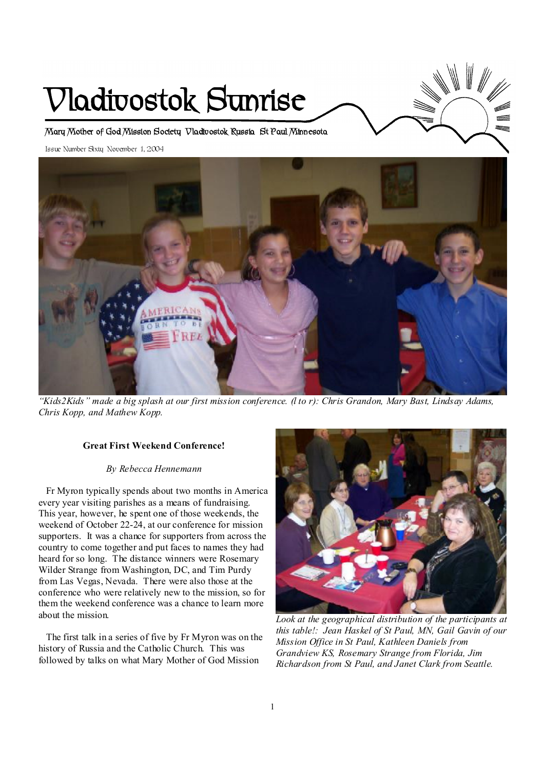# **Vladivostok Sunrise**

**Mary Mother of God Mission Society Vladivostok Russia St Paul Minnesota** 

Issue Number Sixty November 1, 2004



"Kids2Kids" made a big splash at our first mission conference. (I to r): Chris Grandon, Mary Bast, Lindsay Adams, *Chris Kopp, and Mathew Kopp.* 

#### **Great First Weekend Conference!**

#### *By Rebecca Hennemann*

 Fr Myron typically spends about two months in America every year visiting parishes as a means of fundraising. This year, however, he spent one of those weekends, the weekend of October 22-24, at our conference for mission supporters. It was a chance for supporters from across the country to come together and put faces to names they had heard for so long. The distance winners were Rosemary Wilder Strange from Washington, DC, and Tim Purdy from Las Vegas, Nevada. There were also those at the conference who were relatively new to the mission, so for them the weekend conference was a chance to learn more about the mission.

 The first talk in a series of five by Fr Myron was on the history of Russia and the Catholic Church. This was followed by talks on what Mary Mother of God Mission



*Look at the geographical distribution of the participants at this table!: Jean Haskel of St Paul, MN, Gail Gavin of our Mission Office in St Paul, Kathleen Daniels from Grandview KS, Rosemary Strange from Florida, Jim Richardson from St Paul, and Janet Clark from Seattle.*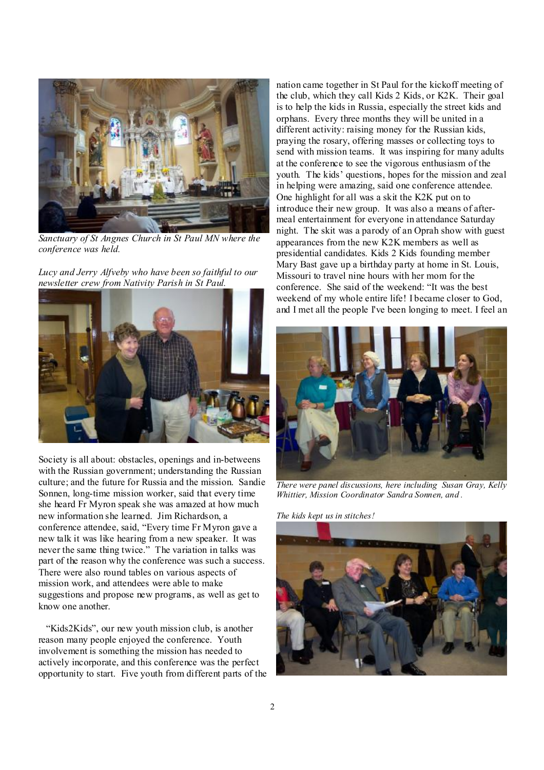

*Sanctuary of St Angnes Church in St Paul MN where the conference was held.* 

*Lucy and Jerry Alfveby who have been so faithful to our newsletter crew from Nativity Parish in St Paul.* 



Society is all about: obstacles, openings and in-betweens with the Russian government; understanding the Russian culture; and the future for Russia and the mission. Sandie Sonnen, long-time mission worker, said that every time she heard Fr Myron speak she was amazed at how much new information she learned. Jim Richardson, a conference attendee, said, "Every time Fr Myron gave a new talk it was like hearing from a new speaker. It was never the same thing twice." The variation in talks was part of the reason why the conference was such a success. There were also round tables on various aspects of mission work, and attendees were able to make suggestions and propose new programs, as well as get to know one another.

 "Kids2Kids", our new youth mission club, is another reason many people enjoyed the conference. Youth involvement is something the mission has needed to actively incorporate, and this conference was the perfect opportunity to start. Five youth from different parts of the

nation came together in St Paul for the kickoff meeting of the club, which they call Kids 2 Kids, or K2K. Their goal is to help the kids in Russia, especially the street kids and orphans. Every three months they will be united in a different activity: raising money for the Russian kids, praying the rosary, offering masses or collecting toys to send with mission teams. It was inspiring for many adults at the conference to see the vigorous enthusiasm of the youth. The kids' questions, hopes for the mission and zeal in helping were amazing, said one conference attendee. One highlight for all was a skit the K2K put on to introduce their new group. It was also a means of aftermeal entertainment for everyone in attendance Saturday night. The skit was a parody of an Oprah show with guest appearances from the new K2K members as well as presidential candidates. Kids 2 Kids founding member Mary Bast gave up a birthday party at home in St. Louis, Missouri to travel nine hours with her mom for the conference. She said of the weekend: "It was the best weekend of my whole entire life! I became closer to God, and I met all the people I've been longing to meet. I feel an



*There were panel discussions, here including Susan Gray, Kelly Whittier, Mission Coordinator Sandra Sonnen, and .* 

*The kids kept us in stitches!* 

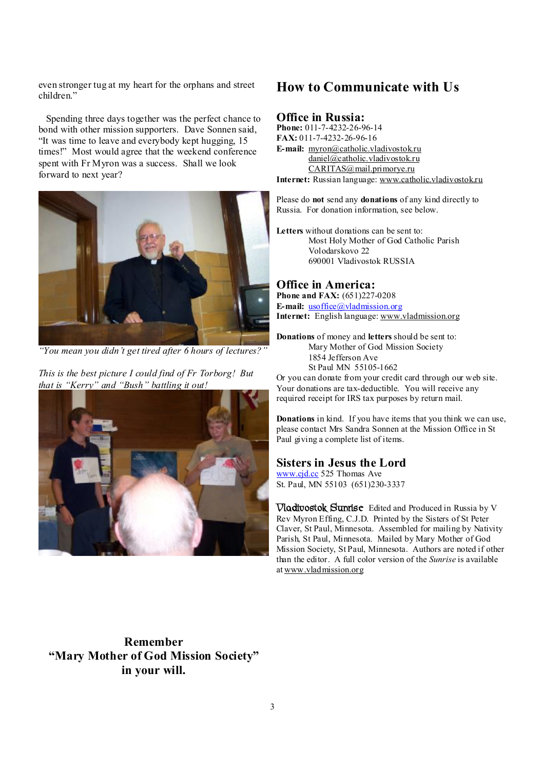even stronger tug at my heart for the orphans and street children."

 Spending three days together was the perfect chance to bond with other mission supporters. Dave Sonnen said, "It was time to leave and everybody kept hugging, 15 times!" Most would agree that the weekend conference spent with Fr Myron was a success. Shall we look forward to next year?



*"You mean you didn't get tired after 6 hours of lectures?"* 

*This is the best picture I could find of Fr Torborg! But that is "Kerry" and "Bush" battling it out!* 



## **How to Communicate with Us**

## **Office in Russia:**

**Phone:** 011-7-4232-26-96-14 **FAX:** 011-7-4232-26-96-16 **E-mail:** [myron@catholic.vladivostok.ru](mailto:myron@catholic.vladivostok.ru) [daniel@catholic.vladivostok.ru](mailto:daniel@catholic.vladivostok.ru) [CARITAS@mail.primorye.ru](mailto:CARITAS@mail.primorye.ru) **Internet:** Russian language: [www.catholic.vladivostok.ru](http://www.catholic.vladivostok.ru)

Please do **not** send any **donations** of any kind directly to Russia. For donation information, see below.

**Letters** without donations can be sent to: Most Holy Mother of God Catholic Parish Volodarskovo 22 690001 Vladivostok RUSSIA

### **Office in America:**

**Phone and FAX:** (651)227-0208 **E-mail:** [usoffice@vladmission.org](mailto:usoffice@vladmission.org) **Internet:** English language: [www.vladmission.org](http://www.vladmission.org)

**Donations** of money and **letters** should be sent to: Mary Mother of God Mission Society 1854 Jefferson Ave St Paul MN 55105-1662

Or you can donate from your credit card through our web site. Your donations are tax-deductible. You will receive any required receipt for IRS tax purposes by return mail.

**Donations** in kind. If you have items that you think we can use, please contact Mrs Sandra Sonnen at the Mission Office in St Paul giving a complete list of items.

#### **Sisters in Jesus the Lord**

[www.cjd.cc](http://www.cjd.cc) 525 Thomas Ave St. Paul, MN 55103 (651)230-3337

**Vladivostok Sunrise** Edited and Produced in Russia by V Rev Myron Effing, C.J.D. Printed by the Sisters of St Peter Claver, St Paul, Minnesota. Assembled for mailing by Nativity Parish, St Paul, Minnesota. Mailed by Mary Mother of God Mission Society, St Paul, Minnesota. Authors are noted if other than the editor. A full color version of the *Sunrise* is available at [www.vladmission.org](http://www.vladmission.org)

**Remember "Mary Mother of God Mission Society" in your will.**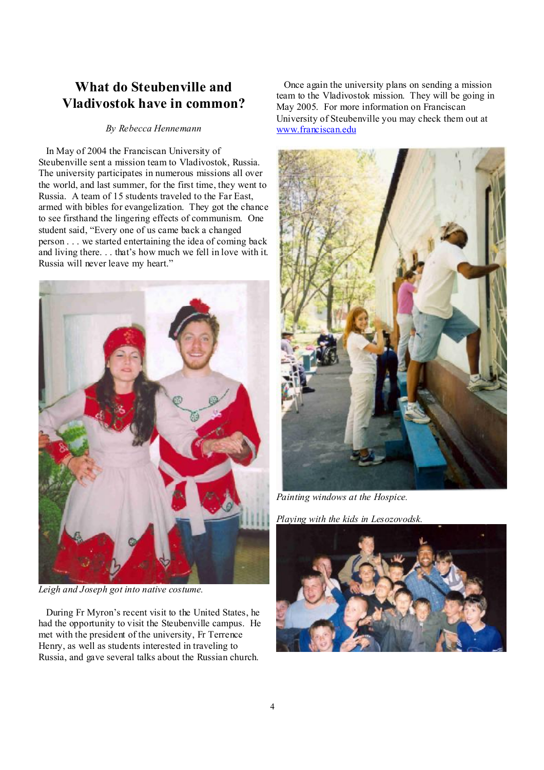# **What do Steubenville and Vladivostok have in common?**

#### *By Rebecca Hennemann*

 In May of 2004 the Franciscan University of Steubenville sent a mission team to Vladivostok, Russia. The university participates in numerous missions all over the world, and last summer, for the first time, they went to Russia. A team of 15 students traveled to the Far East, armed with bibles for evangelization. They got the chance to see firsthand the lingering effects of communism. One student said, "Every one of us came back a changed person . . . we started entertaining the idea of coming back and living there. . . that's how much we fell in love with it. Russia will never leave my heart."



*Leigh and Joseph got into native costume.* 

 During Fr Myron's recent visit to the United States, he had the opportunity to visit the Steubenville campus. He met with the president of the university, Fr Terrence Henry, as well as students interested in traveling to Russia, and gave several talks about the Russian church.

 Once again the university plans on sending a mission team to the Vladivostok mission. They will be going in May 2005. For more information on Franciscan University of Steubenville you may check them out at [www.franciscan.edu](http://www.franciscan.edu)



*Painting windows at the Hospice.* 

*Playing with the kids in Lesozovodsk.* 

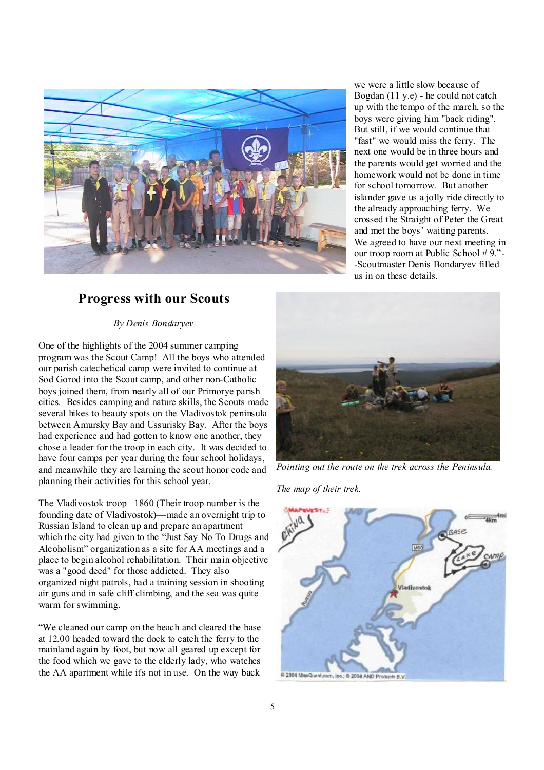

we were a little slow because of Bogdan (11 y.e) - he could not catch up with the tempo of the march, so the boys were giving him "back riding". But still, if we would continue that "fast" we would miss the ferry. The next one would be in three hours and the parents would get worried and the homework would not be done in time for school tomorrow. But another islander gave us a jolly ride directly to the already approaching ferry. We crossed the Straight of Peter the Great and met the boys' waiting parents. We agreed to have our next meeting in our troop room at Public School # 9."- -Scoutmaster Denis Bondaryev filled us in on these details.

## **Progress with our Scouts**

*By Denis Bondaryev* 

One of the highlights of the 2004 summer camping program was the Scout Camp! All the boys who attended our parish catechetical camp were invited to continue at Sod Gorod into the Scout camp, and other non-Catholic boys joined them, from nearly all of our Primorye parish cities. Besides camping and nature skills, the Scouts made several hikes to beauty spots on the Vladivostok peninsula between Amursky Bay and Ussurisky Bay. After the boys had experience and had gotten to know one another, they chose a leader for the troop in each city. It was decided to have four camps per year during the four school holidays, and meanwhile they are learning the scout honor code and planning their activities for this school year.

The Vladivostok troop –1860 (Their troop number is the founding date of Vladivostok)—made an overnight trip to Russian Island to clean up and prepare an apartment which the city had given to the "Just Say No To Drugs and Alcoholism" organization as a site for AA meetings and a place to begin alcohol rehabilitation. Their main objective was a "good deed" for those addicted. They also organized night patrols, had a training session in shooting air guns and in safe cliff climbing, and the sea was quite warm for swimming.

"We cleaned our camp on the beach and cleared the base at 12.00 headed toward the dock to catch the ferry to the mainland again by foot, but now all geared up except for the food which we gave to the elderly lady, who watches the AA apartment while it's not in use. On the way back



*Pointing out the route on the trek across the Peninsula.* 

*The map of their trek.* 

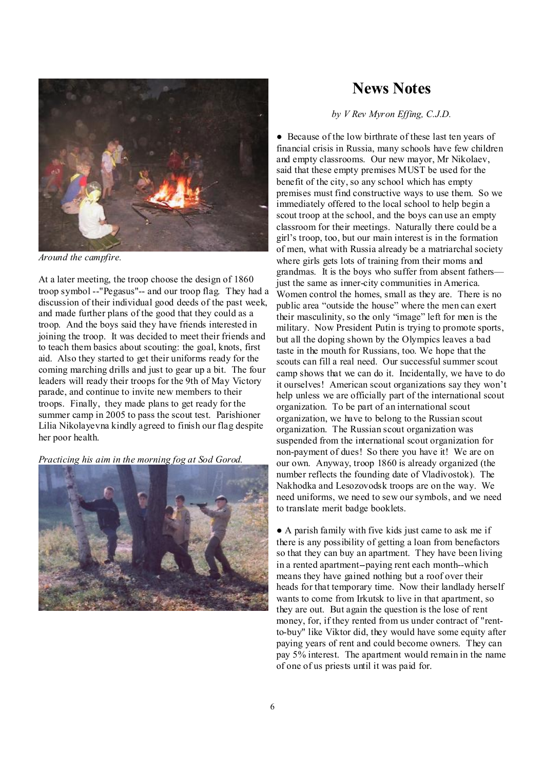

*Around the campfire.* 

At a later meeting, the troop choose the design of 1860 troop symbol --"Pegasus"-- and our troop flag. They had a discussion of their individual good deeds of the past week, and made further plans of the good that they could as a troop. And the boys said they have friends interested in joining the troop. It was decided to meet their friends and to teach them basics about scouting: the goal, knots, first aid. Also they started to get their uniforms ready for the coming marching drills and just to gear up a bit. The four leaders will ready their troops for the 9th of May Victory parade, and continue to invite new members to their troops. Finally, they made plans to get ready for the summer camp in 2005 to pass the scout test. Parishioner Lilia Nikolayevna kindly agreed to finish our flag despite her poor health.

*Practicing his aim in the morning fog at Sod Gorod.* 



## **News Notes**

*by V Rev Myron Effing, C.J.D.*

● Because of the low birthrate of these last ten years of financial crisis in Russia, many schools have few children and empty classrooms. Our new mayor, Mr Nikolaev, said that these empty premises MUST be used for the benefit of the city, so any school which has empty premises must find constructive ways to use them. So we immediately offered to the local school to help begin a scout troop at the school, and the boys can use an empty classroom for their meetings. Naturally there could be a girl's troop, too, but our main interest is in the formation of men, what with Russia already be a matriarchal society where girls gets lots of training from their moms and grandmas. It is the boys who suffer from absent fathers just the same as inner-city communities in America. Women control the homes, small as they are. There is no public area "outside the house" where the men can exert their masculinity, so the only "image" left for men is the military. Now President Putin is trying to promote sports, but all the doping shown by the Olympics leaves a bad taste in the mouth for Russians, too. We hope that the scouts can fill a real need. Our successful summer scout camp shows that we can do it. Incidentally, we have to do it ourselves! American scout organizations say they won't help unless we are officially part of the international scout organization. To be part of an international scout organization, we have to belong to the Russian scout organization. The Russian scout organization was suspended from the international scout organization for non-payment of dues! So there you have it! We are on our own. Anyway, troop 1860 is already organized (the number reflects the founding date of Vladivostok). The Nakhodka and Lesozovodsk troops are on the way. We need uniforms, we need to sew our symbols, and we need to translate merit badge booklets.

● A parish family with five kids just came to ask me if there is any possibility of getting a loan from benefactors so that they can buy an apartment. They have been living in a rented apartment--paying rent each month--which means they have gained nothing but a roof over their heads for that temporary time. Now their landlady herself wants to come from Irkutsk to live in that apartment, so they are out. But again the question is the lose of rent money, for, if they rented from us under contract of "rentto-buy" like Viktor did, they would have some equity after paying years of rent and could become owners. They can pay 5% interest. The apartment would remain in the name of one of us priests until it was paid for.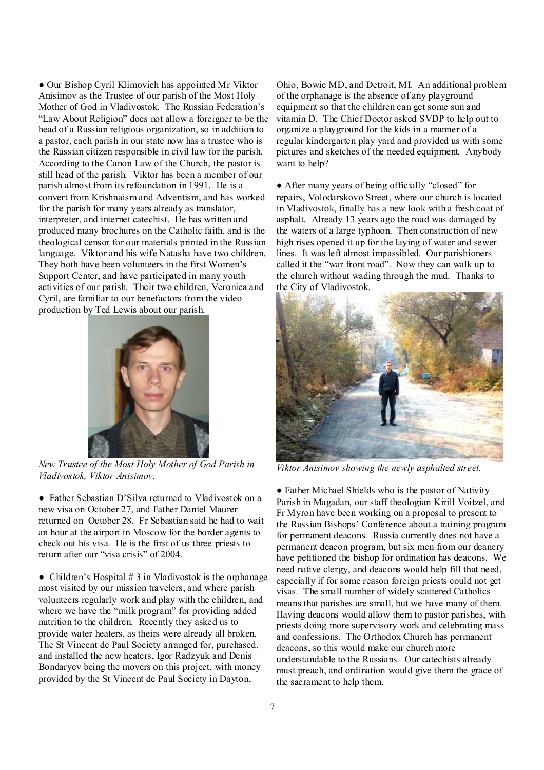● Our Bishop Cyril Klimovich has appointed Mr Viktor Anisimov as the Trustee of our parish of the Most Holy Mother of God in Vladivostok. The Russian Federation's "Law About Religion" does not allow a foreigner to be the head of a Russian religious organization, so in addition to a pastor, each parish in our state now has a trustee who is the Russian citizen responsible in civil law for the parish. According to the Canon Law of the Church, the pastor is still head of the parish. Viktor has been a member of our parish almost from its refoundation in 1991. He is a convert from Krishnaism and Adventism, and has worked for the parish for many years already as translator, interpreter, and internet catechist. He has written and produced many brochures on the Catholic faith, and is the theological censor for our materials printed in the Russian language. Viktor and his wife Natasha have two children. They both have been volunteers in the first Women's Support Center, and have participated in many youth activities of our parish. Their two children, Veronica and Cyril, are familiar to our benefactors from the video production by Ted Lewis about our parish.



*New Trustee of the Most Holy Mother of God Parish in Vladivostok, Viktor Anisimov.*

● Father Sebastian D'Silva returned to Vladivostok on a new visa on October 27, and Father Daniel Maurer returned on October 28. Fr Sebastian said he had to wait an hour at the airport in Moscow for the border agents to check out his visa. He is the first of us three priests to return after our "visa crisis" of 2004.

• Children's Hospital  $# 3$  in Vladivostok is the orphanage most visited by our mission travelers, and where parish volunteers regularly work and play with the children, and where we have the "milk program" for providing added nutrition to the children. Recently they asked us to provide water heaters, as theirs were already all broken. The St Vincent de Paul Society arranged for, purchased, and installed the new heaters, Igor Radzyuk and Denis Bondaryev being the movers on this project, with money provided by the St Vincent de Paul Society in Dayton,

Ohio, Bowie MD, and Detroit, MI. An additional problem of the orphanage is the absence of any playground equipment so that the children can get some sun and vitamin D. The Chief Doctor asked SVDP to help out to organize a playground for the kids in a manner of a regular kindergarten play yard and provided us with some pictures and sketches of the needed equipment. Anybody want to help?

• After many years of being officially "closed" for repairs, Volodarskovo Street, where our church is located in Vladivostok, finally has a new look with a fresh coat of asphalt. Already 13 years ago the road was damaged by the waters of a large typhoon. Then construction of new high rises opened it up for the laying of water and sewer lines. It was left almost impassibled. Our parishioners called it the "war front road". Now they can walk up to the church without wading through the mud. Thanks to the City of Vladivostok.



*Viktor Anisimov showing the newly asphalted street.* 

● Father Michael Shields who is the pastor of Nativity Parish in Magadan, our staff theologian Kirill Voitzel, and Fr Myron have been working on a proposal to present to the Russian Bishops' Conference about a training program for permanent deacons. Russia currently does not have a permanent deacon program, but six men from our deanery have petitioned the bishop for ordination has deacons. We need native clergy, and deacons would help fill that need, especially if for some reason foreign priests could not get visas. The small number of widely scattered Catholics means that parishes are small, but we have many of them. Having deacons would allow them to pastor parishes, with priests doing more supervisory work and celebrating mass and confessions. The Orthodox Church has permanent deacons, so this would make our church more understandable to the Russians. Our catechists already must preach, and ordination would give them the grace of the sacrament to help them.